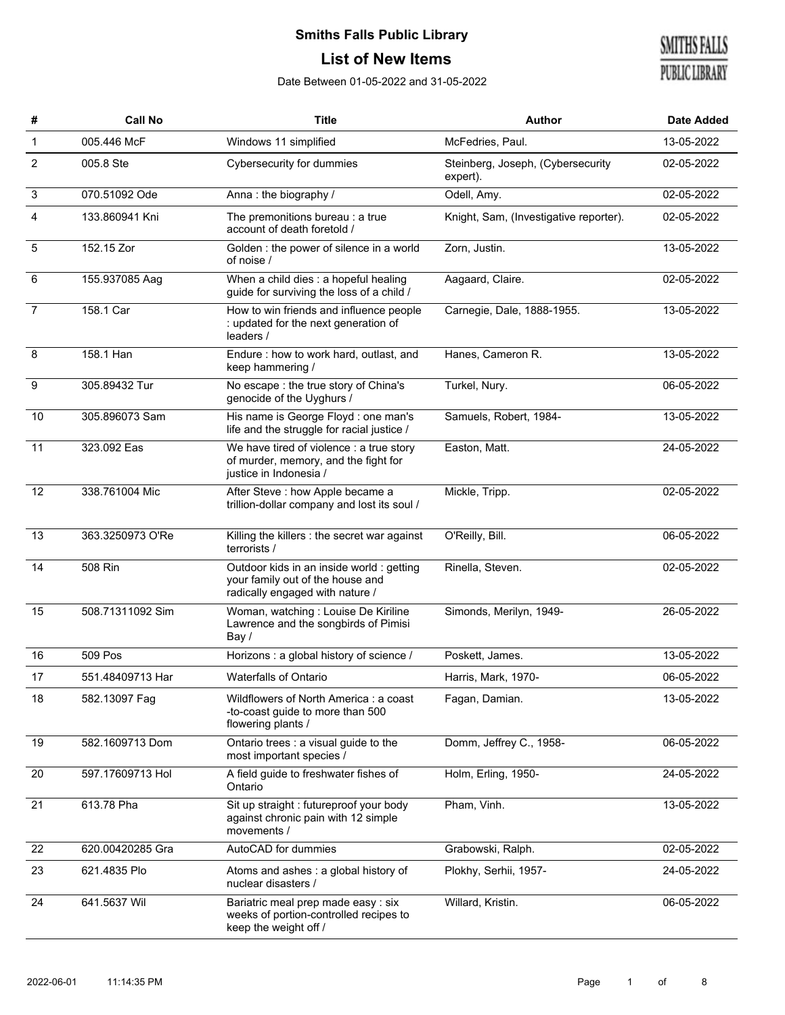| <b>SMITHS FALLS</b> |
|---------------------|
| PUBLIC LIBRARY      |

| #              | <b>Call No</b>   | <b>Title</b>                                                                                                    | <b>Author</b>                                 | <b>Date Added</b> |
|----------------|------------------|-----------------------------------------------------------------------------------------------------------------|-----------------------------------------------|-------------------|
| 1              | 005.446 McF      | Windows 11 simplified                                                                                           | McFedries, Paul.                              | 13-05-2022        |
| $\overline{2}$ | 005.8 Ste        | Cybersecurity for dummies                                                                                       | Steinberg, Joseph, (Cybersecurity<br>expert). | 02-05-2022        |
| 3              | 070.51092 Ode    | Anna : the biography /                                                                                          | Odell, Amy.                                   | 02-05-2022        |
| 4              | 133.860941 Kni   | The premonitions bureau : a true<br>account of death foretold /                                                 | Knight, Sam, (Investigative reporter).        | 02-05-2022        |
| 5              | 152.15 Zor       | Golden : the power of silence in a world<br>of noise /                                                          | Zorn, Justin.                                 | 13-05-2022        |
| 6              | 155.937085 Aag   | When a child dies : a hopeful healing<br>guide for surviving the loss of a child /                              | Aagaard, Claire.                              | 02-05-2022        |
| $\overline{7}$ | 158.1 Car        | How to win friends and influence people<br>: updated for the next generation of<br>leaders /                    | Carnegie, Dale, 1888-1955.                    | 13-05-2022        |
| 8              | 158.1 Han        | Endure: how to work hard, outlast, and<br>keep hammering /                                                      | Hanes, Cameron R.                             | 13-05-2022        |
| 9              | 305.89432 Tur    | No escape : the true story of China's<br>genocide of the Uyghurs /                                              | Turkel, Nury.                                 | 06-05-2022        |
| 10             | 305.896073 Sam   | His name is George Floyd : one man's<br>life and the struggle for racial justice /                              | Samuels, Robert, 1984-                        | 13-05-2022        |
| 11             | 323.092 Eas      | We have tired of violence : a true story<br>of murder, memory, and the fight for<br>justice in Indonesia /      | Easton, Matt.                                 | 24-05-2022        |
| 12             | 338.761004 Mic   | After Steve : how Apple became a<br>trillion-dollar company and lost its soul /                                 | Mickle, Tripp.                                | 02-05-2022        |
| 13             | 363.3250973 O'Re | Killing the killers : the secret war against<br>terrorists /                                                    | O'Reilly, Bill.                               | 06-05-2022        |
| 14             | 508 Rin          | Outdoor kids in an inside world: getting<br>your family out of the house and<br>radically engaged with nature / | Rinella, Steven.                              | 02-05-2022        |
| 15             | 508.71311092 Sim | Woman, watching : Louise De Kiriline<br>Lawrence and the songbirds of Pimisi<br>Bay/                            | Simonds, Merilyn, 1949-                       | 26-05-2022        |
| 16             | 509 Pos          | Horizons: a global history of science /                                                                         | Poskett, James.                               | 13-05-2022        |
| 17             | 551.48409713 Har | <b>Waterfalls of Ontario</b>                                                                                    | Harris, Mark, 1970-                           | 06-05-2022        |
| 18             | 582.13097 Fag    | Wildflowers of North America : a coast<br>-to-coast guide to more than 500<br>flowering plants /                | Fagan, Damian.                                | 13-05-2022        |
| 19             | 582.1609713 Dom  | Ontario trees : a visual guide to the<br>most important species /                                               | Domm, Jeffrey C., 1958-                       | 06-05-2022        |
| 20             | 597.17609713 Hol | A field guide to freshwater fishes of<br>Ontario                                                                | Holm, Erling, 1950-                           | 24-05-2022        |
| 21             | 613.78 Pha       | Sit up straight : futureproof your body<br>against chronic pain with 12 simple<br>movements /                   | Pham, Vinh.                                   | 13-05-2022        |
| 22             | 620.00420285 Gra | AutoCAD for dummies                                                                                             | Grabowski, Ralph.                             | 02-05-2022        |
| 23             | 621.4835 Plo     | Atoms and ashes : a global history of<br>nuclear disasters /                                                    | Plokhy, Serhii, 1957-                         | 24-05-2022        |
| 24             | 641.5637 Wil     | Bariatric meal prep made easy : six<br>weeks of portion-controlled recipes to<br>keep the weight off /          | Willard, Kristin.                             | 06-05-2022        |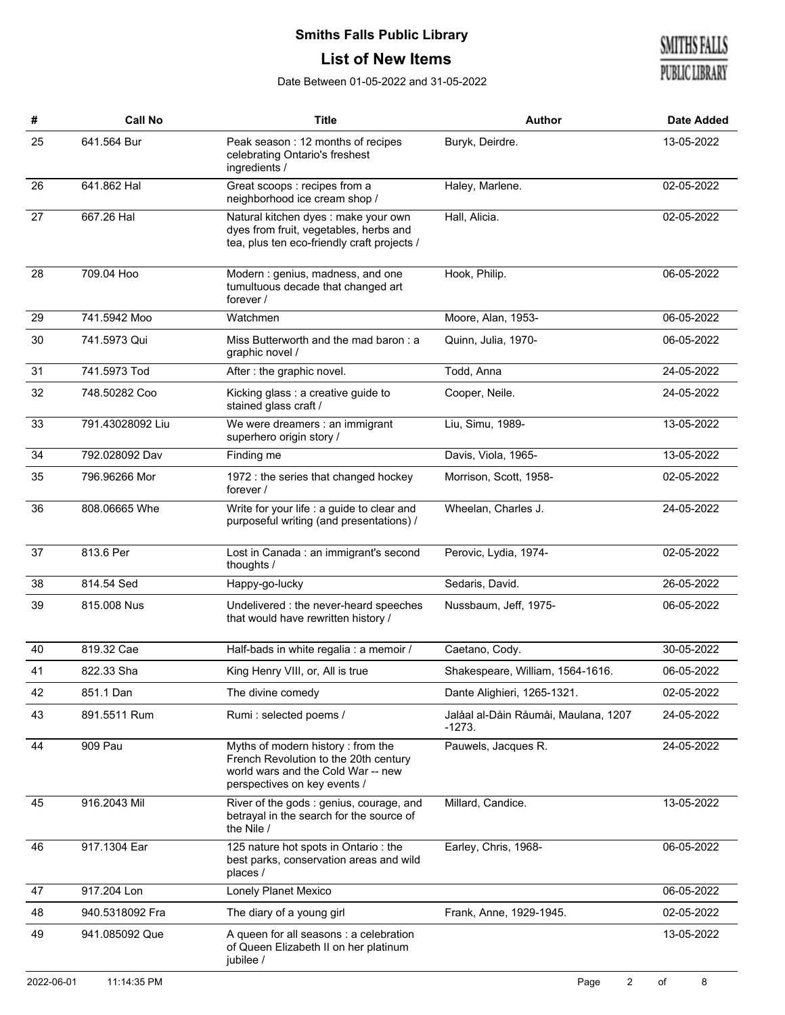## **Smiths Falls Public Library**

### **List of New Items**

| <b>SMITHS FALLS</b> |
|---------------------|
| PUBLIC LIBRARY      |

| #          | <b>Call No</b>   | <b>Title</b>                                                                                                                                     | <b>Author</b>                                    | <b>Date Added</b> |
|------------|------------------|--------------------------------------------------------------------------------------------------------------------------------------------------|--------------------------------------------------|-------------------|
| 25         | 641.564 Bur      | Peak season: 12 months of recipes<br>celebrating Ontario's freshest<br>ingredients /                                                             | Buryk, Deirdre.                                  | 13-05-2022        |
| 26         | 641.862 Hal      | Great scoops : recipes from a<br>neighborhood ice cream shop /                                                                                   | Haley, Marlene.                                  | 02-05-2022        |
| 27         | 667.26 Hal       | Natural kitchen dyes : make your own<br>dyes from fruit, vegetables, herbs and<br>tea, plus ten eco-friendly craft projects /                    | Hall, Alicia.                                    | 02-05-2022        |
| 28         | 709.04 Hoo       | Modern: genius, madness, and one<br>tumultuous decade that changed art<br>forever /                                                              | Hook, Philip.                                    | 06-05-2022        |
| 29         | 741.5942 Moo     | Watchmen                                                                                                                                         | Moore, Alan, 1953-                               | 06-05-2022        |
| 30         | 741.5973 Qui     | Miss Butterworth and the mad baron: a<br>graphic novel /                                                                                         | Quinn, Julia, 1970-                              | 06-05-2022        |
| 31         | 741.5973 Tod     | After : the graphic novel.                                                                                                                       | Todd, Anna                                       | 24-05-2022        |
| 32         | 748.50282 Coo    | Kicking glass : a creative guide to<br>stained glass craft /                                                                                     | Cooper, Neile.                                   | 24-05-2022        |
| 33         | 791.43028092 Liu | We were dreamers : an immigrant<br>superhero origin story /                                                                                      | Liu, Simu, 1989-                                 | 13-05-2022        |
| 34         | 792.028092 Dav   | Finding me                                                                                                                                       | Davis, Viola, 1965-                              | 13-05-2022        |
| 35         | 796.96266 Mor    | 1972 : the series that changed hockey<br>forever /                                                                                               | Morrison, Scott, 1958-                           | 02-05-2022        |
| 36         | 808.06665 Whe    | Write for your life : a guide to clear and<br>purposeful writing (and presentations) /                                                           | Wheelan, Charles J.                              | 24-05-2022        |
| 37         | 813.6 Per        | Lost in Canada : an immigrant's second<br>thoughts /                                                                                             | Perovic, Lydia, 1974-                            | 02-05-2022        |
| 38         | 814.54 Sed       | Happy-go-lucky                                                                                                                                   | Sedaris, David.                                  | 26-05-2022        |
| 39         | 815,008 Nus      | Undelivered : the never-heard speeches<br>that would have rewritten history /                                                                    | Nussbaum, Jeff, 1975-                            | 06-05-2022        |
| 40         | 819.32 Cae       | Half-bads in white regalia : a memoir /                                                                                                          | Caetano, Cody.                                   | 30-05-2022        |
| 41         | 822.33 Sha       | King Henry VIII, or, All is true                                                                                                                 | Shakespeare, William, 1564-1616.                 | 06-05-2022        |
| 42         | 851.1 Dan        | The divine comedy                                                                                                                                | Dante Alighieri, 1265-1321.                      | 02-05-2022        |
| 43         | 891.5511 Rum     | Rumi: selected poems /                                                                                                                           | Jalåal al-Dåin Råumåi, Maulana, 1207<br>$-1273.$ | 24-05-2022        |
| 44         | 909 Pau          | Myths of modern history: from the<br>French Revolution to the 20th century<br>world wars and the Cold War -- new<br>perspectives on key events / | Pauwels, Jacques R.                              | 24-05-2022        |
| 45         | 916.2043 Mil     | River of the gods: genius, courage, and<br>betrayal in the search for the source of<br>the Nile /                                                | Millard, Candice.                                | 13-05-2022        |
| 46         | 917.1304 Ear     | 125 nature hot spots in Ontario: the<br>best parks, conservation areas and wild<br>places /                                                      | Earley, Chris, 1968-                             | 06-05-2022        |
| 47         | 917.204 Lon      | Lonely Planet Mexico                                                                                                                             |                                                  | 06-05-2022        |
| 48         | 940.5318092 Fra  | The diary of a young girl                                                                                                                        | Frank, Anne, 1929-1945.                          | 02-05-2022        |
| 49         | 941.085092 Que   | A queen for all seasons : a celebration<br>of Queen Elizabeth II on her platinum<br>jubilee /                                                    |                                                  | 13-05-2022        |
| 2022-06-01 | 11:14:35 PM      |                                                                                                                                                  | 2<br>Page                                        | 8<br>of           |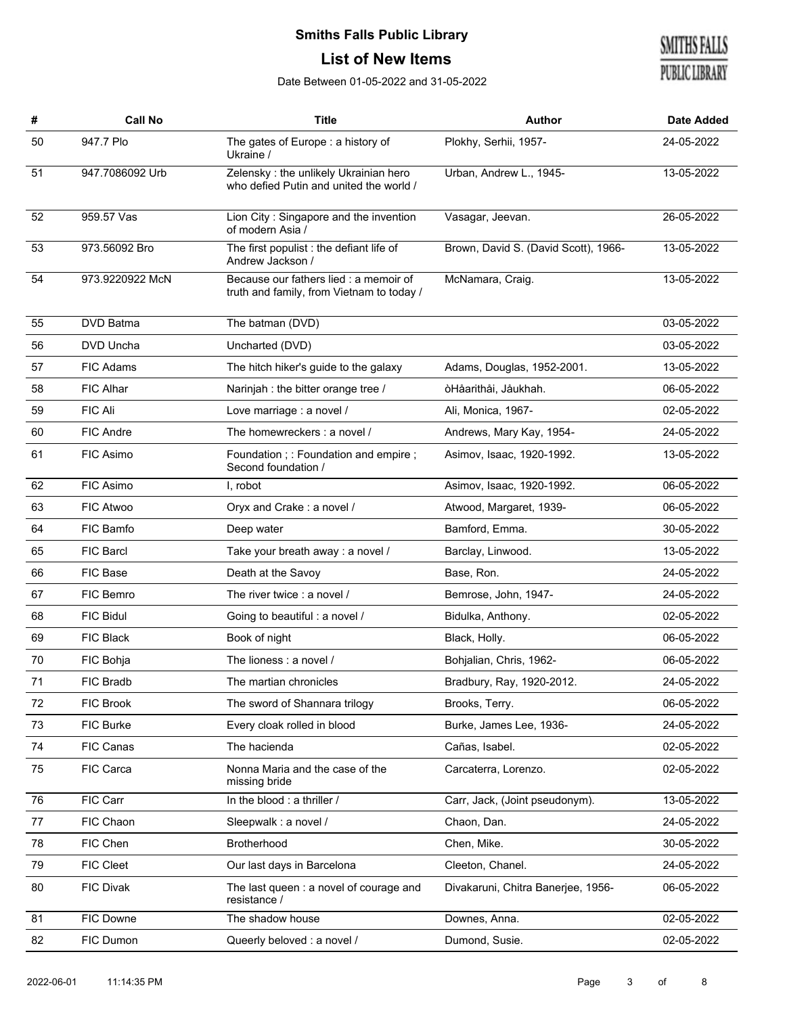## Date Between 01-05-2022 and 31-05-2022

**# Call No Title Author Date Added**

947.7 Plo The gates of Europe : a history of Plokhy, Serhii, 1957- 24-05-2022



|    |                  | Ukraine /                                                                           |                                      |            |
|----|------------------|-------------------------------------------------------------------------------------|--------------------------------------|------------|
| 51 | 947.7086092 Urb  | Zelensky : the unlikely Ukrainian hero<br>who defied Putin and united the world /   | Urban, Andrew L., 1945-              | 13-05-2022 |
| 52 | 959.57 Vas       | Lion City: Singapore and the invention<br>of modern Asia /                          | Vasagar, Jeevan.                     | 26-05-2022 |
| 53 | 973.56092 Bro    | The first populist : the defiant life of<br>Andrew Jackson /                        | Brown, David S. (David Scott), 1966- | 13-05-2022 |
| 54 | 973.9220922 McN  | Because our fathers lied : a memoir of<br>truth and family, from Vietnam to today / | McNamara, Craig.                     | 13-05-2022 |
| 55 | <b>DVD Batma</b> | The batman (DVD)                                                                    |                                      | 03-05-2022 |
| 56 | DVD Uncha        | Uncharted (DVD)                                                                     |                                      | 03-05-2022 |
| 57 | <b>FIC Adams</b> | The hitch hiker's guide to the galaxy                                               | Adams, Douglas, 1952-2001.           | 13-05-2022 |
| 58 | <b>FIC Alhar</b> | Narinjah : the bitter orange tree /                                                 | òHåarithåi, Jåukhah.                 | 06-05-2022 |
| 59 | <b>FIC Ali</b>   | Love marriage : a novel /                                                           | Ali, Monica, 1967-                   | 02-05-2022 |
| 60 | <b>FIC Andre</b> | The homewreckers : a novel /                                                        | Andrews, Mary Kay, 1954-             | 24-05-2022 |
| 61 | FIC Asimo        | Foundation ; : Foundation and empire ;<br>Second foundation /                       | Asimov, Isaac, 1920-1992.            | 13-05-2022 |
| 62 | FIC Asimo        | I, robot                                                                            | Asimov, Isaac, 1920-1992.            | 06-05-2022 |
| 63 | FIC Atwoo        | Oryx and Crake: a novel /                                                           | Atwood, Margaret, 1939-              | 06-05-2022 |
| 64 | FIC Bamfo        | Deep water                                                                          | Bamford, Emma.                       | 30-05-2022 |
| 65 | <b>FIC Barcl</b> | Take your breath away : a novel /                                                   | Barclay, Linwood.                    | 13-05-2022 |
| 66 | <b>FIC Base</b>  | Death at the Savoy                                                                  | Base, Ron.                           | 24-05-2022 |
| 67 | FIC Bemro        | The river twice : a novel /                                                         | Bemrose, John, 1947-                 | 24-05-2022 |
| 68 | <b>FIC Bidul</b> | Going to beautiful : a novel /                                                      | Bidulka, Anthony.                    | 02-05-2022 |
| 69 | <b>FIC Black</b> | Book of night                                                                       | Black, Holly.                        | 06-05-2022 |
| 70 | FIC Bohja        | The lioness : a novel /                                                             | Bohjalian, Chris, 1962-              | 06-05-2022 |
| 71 | FIC Bradb        | The martian chronicles                                                              | Bradbury, Ray, 1920-2012.            | 24-05-2022 |
| 72 | <b>FIC Brook</b> | The sword of Shannara trilogy                                                       | Brooks, Terry.                       | 06-05-2022 |
| 73 | FIC Burke        | Every cloak rolled in blood                                                         | Burke, James Lee, 1936-              | 24-05-2022 |
| 74 | FIC Canas        | The hacienda                                                                        | Cañas, Isabel.                       | 02-05-2022 |
| 75 | FIC Carca        | Nonna Maria and the case of the<br>missing bride                                    | Carcaterra, Lorenzo.                 | 02-05-2022 |
| 76 | FIC Carr         | In the blood : a thriller /                                                         | Carr, Jack, (Joint pseudonym).       | 13-05-2022 |
| 77 | FIC Chaon        | Sleepwalk : a novel /                                                               | Chaon, Dan.                          | 24-05-2022 |
| 78 | FIC Chen         | Brotherhood                                                                         | Chen, Mike.                          | 30-05-2022 |
| 79 | <b>FIC Cleet</b> | Our last days in Barcelona                                                          | Cleeton, Chanel.                     | 24-05-2022 |
| 80 | FIC Divak        | The last queen : a novel of courage and<br>resistance /                             | Divakaruni, Chitra Banerjee, 1956-   | 06-05-2022 |
| 81 | FIC Downe        | The shadow house                                                                    | Downes, Anna.                        | 02-05-2022 |
| 82 | FIC Dumon        | Queerly beloved : a novel /                                                         | Dumond, Susie.                       | 02-05-2022 |
|    |                  |                                                                                     |                                      |            |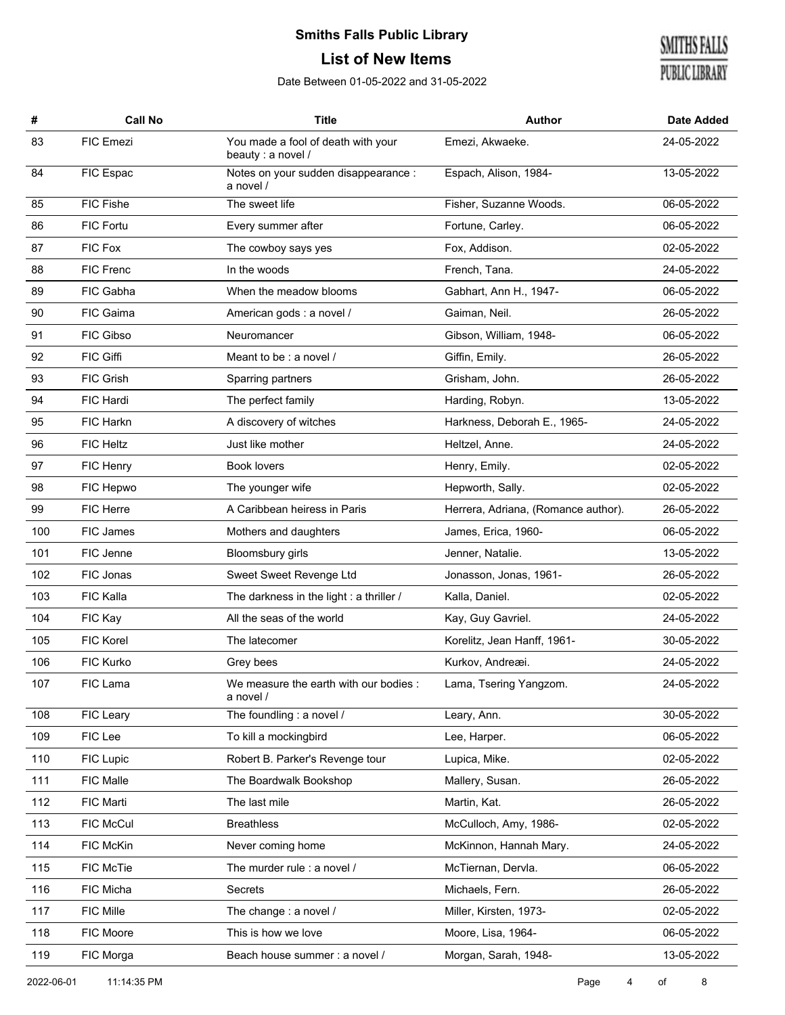## SMITHS FALLS PUBLIC LIBRARY

| #   | <b>Call No</b>   | <b>Title</b>                                             | <b>Author</b>                       | <b>Date Added</b> |
|-----|------------------|----------------------------------------------------------|-------------------------------------|-------------------|
| 83  | <b>FIC Emezi</b> | You made a fool of death with your<br>beauty : a novel / | Emezi, Akwaeke.                     | 24-05-2022        |
| 84  | FIC Espac        | Notes on your sudden disappearance :<br>a novel /        | Espach, Alison, 1984-               | 13-05-2022        |
| 85  | <b>FIC Fishe</b> | The sweet life                                           | Fisher, Suzanne Woods.              | 06-05-2022        |
| 86  | <b>FIC Fortu</b> | Every summer after                                       | Fortune, Carley.                    | 06-05-2022        |
| 87  | FIC Fox          | The cowboy says yes                                      | Fox, Addison.                       | 02-05-2022        |
| 88  | FIC Frenc        | In the woods                                             | French, Tana.                       | 24-05-2022        |
| 89  | FIC Gabha        | When the meadow blooms                                   | Gabhart, Ann H., 1947-              | 06-05-2022        |
| 90  | FIC Gaima        | American gods : a novel /                                | Gaiman, Neil.                       | 26-05-2022        |
| 91  | <b>FIC Gibso</b> | Neuromancer                                              | Gibson, William, 1948-              | 06-05-2022        |
| 92  | <b>FIC Giffi</b> | Meant to be : a novel /                                  | Giffin, Emily.                      | 26-05-2022        |
| 93  | <b>FIC Grish</b> | Sparring partners                                        | Grisham, John.                      | 26-05-2022        |
| 94  | FIC Hardi        | The perfect family                                       | Harding, Robyn.                     | 13-05-2022        |
| 95  | FIC Harkn        | A discovery of witches                                   | Harkness, Deborah E., 1965-         | 24-05-2022        |
| 96  | <b>FIC Heltz</b> | Just like mother                                         | Heltzel, Anne.                      | 24-05-2022        |
| 97  | FIC Henry        | <b>Book lovers</b>                                       | Henry, Emily.                       | 02-05-2022        |
| 98  | FIC Hepwo        | The younger wife                                         | Hepworth, Sally.                    | 02-05-2022        |
| 99  | FIC Herre        | A Caribbean heiress in Paris                             | Herrera, Adriana, (Romance author). | 26-05-2022        |
| 100 | FIC James        | Mothers and daughters                                    | James, Erica, 1960-                 | 06-05-2022        |
| 101 | FIC Jenne        | Bloomsbury girls                                         | Jenner, Natalie.                    | 13-05-2022        |
| 102 | FIC Jonas        | Sweet Sweet Revenge Ltd                                  | Jonasson, Jonas, 1961-              | 26-05-2022        |
| 103 | <b>FIC Kalla</b> | The darkness in the light : a thriller /                 | Kalla, Daniel.                      | 02-05-2022        |
| 104 | FIC Kay          | All the seas of the world                                | Kay, Guy Gavriel.                   | 24-05-2022        |
| 105 | FIC Korel        | The latecomer                                            | Korelitz, Jean Hanff, 1961-         | 30-05-2022        |
| 106 | FIC Kurko        | Grey bees                                                | Kurkov, Andreæi.                    | 24-05-2022        |
| 107 | FIC Lama         | We measure the earth with our bodies :<br>a novel /      | Lama, Tsering Yangzom.              | 24-05-2022        |
| 108 | FIC Leary        | The foundling : a novel /                                | Leary, Ann.                         | 30-05-2022        |
| 109 | FIC Lee          | To kill a mockingbird                                    | Lee, Harper.                        | 06-05-2022        |
| 110 | FIC Lupic        | Robert B. Parker's Revenge tour                          | Lupica, Mike.                       | 02-05-2022        |
| 111 | <b>FIC Malle</b> | The Boardwalk Bookshop                                   | Mallery, Susan.                     | 26-05-2022        |
| 112 | FIC Marti        | The last mile                                            | Martin, Kat.                        | 26-05-2022        |
| 113 | FIC McCul        | <b>Breathless</b>                                        | McCulloch, Amy, 1986-               | 02-05-2022        |
| 114 | FIC McKin        | Never coming home                                        | McKinnon, Hannah Mary.              | 24-05-2022        |
| 115 | FIC McTie        | The murder rule : a novel /                              | McTiernan, Dervla.                  | 06-05-2022        |
| 116 | FIC Micha        | Secrets                                                  | Michaels, Fern.                     | 26-05-2022        |
| 117 | FIC Mille        | The change : a novel /                                   | Miller, Kirsten, 1973-              | 02-05-2022        |
| 118 | FIC Moore        | This is how we love                                      | Moore, Lisa, 1964-                  | 06-05-2022        |
| 119 | FIC Morga        | Beach house summer : a novel /                           | Morgan, Sarah, 1948-                | 13-05-2022        |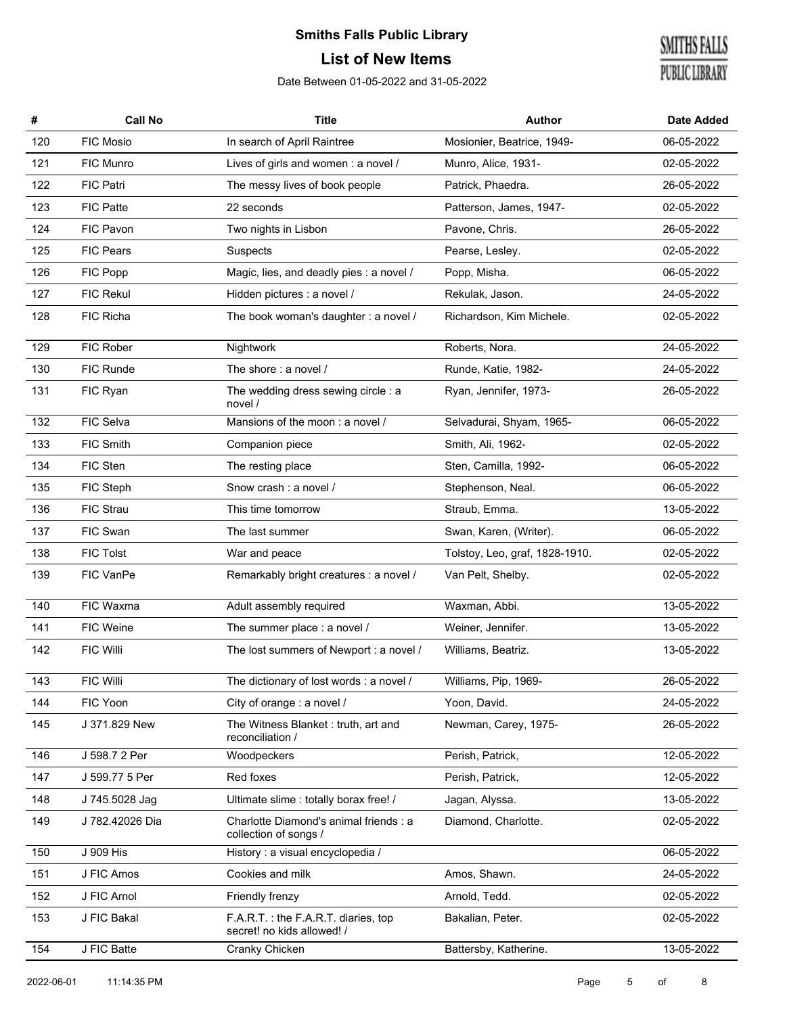Date Between 01-05-2022 and 31-05-2022

# SMITHS FALLS PUBLIC LIBRARY

| #   | Call No          | <b>Title</b>                                                      | Author                         | <b>Date Added</b> |
|-----|------------------|-------------------------------------------------------------------|--------------------------------|-------------------|
| 120 | <b>FIC Mosio</b> | In search of April Raintree                                       | Mosionier, Beatrice, 1949-     | 06-05-2022        |
| 121 | FIC Munro        | Lives of girls and women : a novel /                              | Munro, Alice, 1931-            | 02-05-2022        |
| 122 | <b>FIC Patri</b> | The messy lives of book people                                    | Patrick, Phaedra.              | 26-05-2022        |
| 123 | <b>FIC Patte</b> | 22 seconds                                                        | Patterson, James, 1947-        | 02-05-2022        |
| 124 | FIC Pavon        | Two nights in Lisbon                                              | Pavone, Chris.                 | 26-05-2022        |
| 125 | <b>FIC Pears</b> | Suspects                                                          | Pearse, Lesley.                | 02-05-2022        |
| 126 | FIC Popp         | Magic, lies, and deadly pies : a novel /                          | Popp, Misha.                   | 06-05-2022        |
| 127 | <b>FIC Rekul</b> | Hidden pictures : a novel /                                       | Rekulak, Jason.                | 24-05-2022        |
| 128 | FIC Richa        | The book woman's daughter : a novel /                             | Richardson, Kim Michele.       | 02-05-2022        |
| 129 | FIC Rober        | Nightwork                                                         | Roberts, Nora.                 | 24-05-2022        |
| 130 | FIC Runde        | The shore : a novel /                                             | Runde, Katie, 1982-            | 24-05-2022        |
| 131 | FIC Ryan         | The wedding dress sewing circle : a<br>novel /                    | Ryan, Jennifer, 1973-          | 26-05-2022        |
| 132 | FIC Selva        | Mansions of the moon : a novel /                                  | Selvadurai, Shyam, 1965-       | 06-05-2022        |
| 133 | FIC Smith        | Companion piece                                                   | Smith, Ali, 1962-              | 02-05-2022        |
| 134 | FIC Sten         | The resting place                                                 | Sten, Camilla, 1992-           | 06-05-2022        |
| 135 | FIC Steph        | Snow crash: a novel /                                             | Stephenson, Neal.              | 06-05-2022        |
| 136 | <b>FIC Strau</b> | This time tomorrow                                                | Straub, Emma.                  | 13-05-2022        |
| 137 | FIC Swan         | The last summer                                                   | Swan, Karen, (Writer).         | 06-05-2022        |
| 138 | <b>FIC Tolst</b> | War and peace                                                     | Tolstoy, Leo, graf, 1828-1910. | 02-05-2022        |
| 139 | FIC VanPe        | Remarkably bright creatures : a novel /                           | Van Pelt, Shelby.              | 02-05-2022        |
| 140 | FIC Waxma        | Adult assembly required                                           | Waxman, Abbi.                  | 13-05-2022        |
| 141 | FIC Weine        | The summer place : a novel /                                      | Weiner, Jennifer.              | 13-05-2022        |
| 142 | <b>FIC Willi</b> | The lost summers of Newport : a novel /                           | Williams, Beatriz.             | 13-05-2022        |
| 143 | <b>FIC Willi</b> | The dictionary of lost words : a novel /                          | Williams, Pip, 1969-           | 26-05-2022        |
| 144 | FIC Yoon         | City of orange : a novel /                                        | Yoon, David.                   | 24-05-2022        |
| 145 | J 371.829 New    | The Witness Blanket: truth, art and<br>reconciliation /           | Newman, Carey, 1975-           | 26-05-2022        |
| 146 | J 598.7 2 Per    | Woodpeckers                                                       | Perish, Patrick,               | 12-05-2022        |
| 147 | J 599.77 5 Per   | Red foxes                                                         | Perish, Patrick,               | 12-05-2022        |
| 148 | J 745.5028 Jag   | Ultimate slime : totally borax free! /                            | Jagan, Alyssa.                 | 13-05-2022        |
| 149 | J 782.42026 Dia  | Charlotte Diamond's animal friends : a<br>collection of songs /   | Diamond, Charlotte.            | 02-05-2022        |
| 150 | J 909 His        | History : a visual encyclopedia /                                 |                                | 06-05-2022        |
| 151 | J FIC Amos       | Cookies and milk                                                  | Amos, Shawn.                   | 24-05-2022        |
| 152 | J FIC Arnol      | Friendly frenzy                                                   | Arnold, Tedd.                  | 02-05-2022        |
| 153 | J FIC Bakal      | F.A.R.T.: the F.A.R.T. diaries, top<br>secret! no kids allowed! / | Bakalian, Peter.               | 02-05-2022        |
| 154 | J FIC Batte      | Cranky Chicken                                                    | Battersby, Katherine.          | 13-05-2022        |
|     |                  |                                                                   |                                |                   |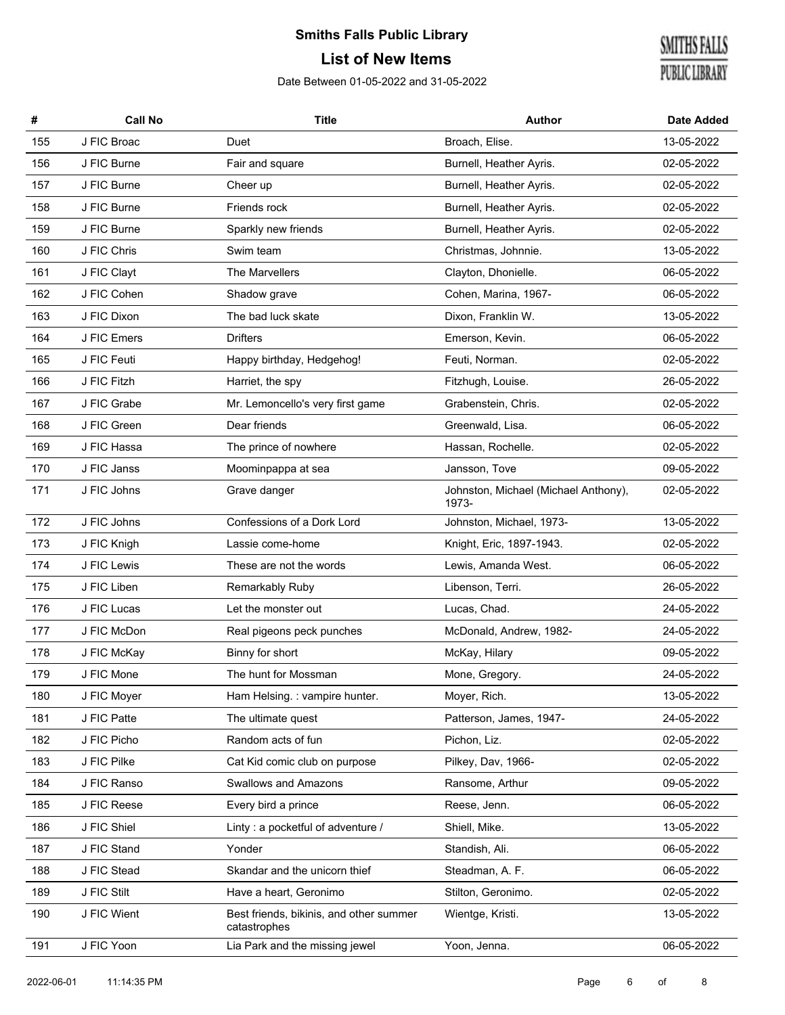SMITHS FALLS PUBLIC LIBRARY

| #   | <b>Call No</b> | <b>Title</b>                                            | <b>Author</b>                                 | <b>Date Added</b> |
|-----|----------------|---------------------------------------------------------|-----------------------------------------------|-------------------|
| 155 | J FIC Broac    | Duet                                                    | Broach, Elise.                                | 13-05-2022        |
| 156 | J FIC Burne    | Fair and square                                         | Burnell, Heather Ayris.                       | 02-05-2022        |
| 157 | J FIC Burne    | Cheer up                                                | Burnell, Heather Ayris.                       | 02-05-2022        |
| 158 | J FIC Burne    | Friends rock                                            | Burnell, Heather Ayris.                       | 02-05-2022        |
| 159 | J FIC Burne    | Sparkly new friends                                     | Burnell, Heather Ayris.                       | 02-05-2022        |
| 160 | J FIC Chris    | Swim team                                               | Christmas, Johnnie.                           | 13-05-2022        |
| 161 | J FIC Clayt    | The Marvellers                                          | Clayton, Dhonielle.                           | 06-05-2022        |
| 162 | J FIC Cohen    | Shadow grave                                            | Cohen, Marina, 1967-                          | 06-05-2022        |
| 163 | J FIC Dixon    | The bad luck skate                                      | Dixon, Franklin W.                            | 13-05-2022        |
| 164 | J FIC Emers    | <b>Drifters</b>                                         | Emerson, Kevin.                               | 06-05-2022        |
| 165 | J FIC Feuti    | Happy birthday, Hedgehog!                               | Feuti, Norman.                                | 02-05-2022        |
| 166 | J FIC Fitzh    | Harriet, the spy                                        | Fitzhugh, Louise.                             | 26-05-2022        |
| 167 | J FIC Grabe    | Mr. Lemoncello's very first game                        | Grabenstein, Chris.                           | 02-05-2022        |
| 168 | J FIC Green    | Dear friends                                            | Greenwald, Lisa.                              | 06-05-2022        |
| 169 | J FIC Hassa    | The prince of nowhere                                   | Hassan, Rochelle.                             | 02-05-2022        |
| 170 | J FIC Janss    | Moominpappa at sea                                      | Jansson, Tove                                 | 09-05-2022        |
| 171 | J FIC Johns    | Grave danger                                            | Johnston, Michael (Michael Anthony),<br>1973- | 02-05-2022        |
| 172 | J FIC Johns    | Confessions of a Dork Lord                              | Johnston, Michael, 1973-                      | 13-05-2022        |
| 173 | J FIC Knigh    | Lassie come-home                                        | Knight, Eric, 1897-1943.                      | 02-05-2022        |
| 174 | J FIC Lewis    | These are not the words                                 | Lewis, Amanda West.                           | 06-05-2022        |
| 175 | J FIC Liben    | Remarkably Ruby                                         | Libenson, Terri.                              | 26-05-2022        |
| 176 | J FIC Lucas    | Let the monster out                                     | Lucas, Chad.                                  | 24-05-2022        |
| 177 | J FIC McDon    | Real pigeons peck punches                               | McDonald, Andrew, 1982-                       | 24-05-2022        |
| 178 | J FIC McKay    | Binny for short                                         | McKay, Hilary                                 | 09-05-2022        |
| 179 | J FIC Mone     | The hunt for Mossman                                    | Mone, Gregory.                                | 24-05-2022        |
| 180 | J FIC Moyer    | Ham Helsing. : vampire hunter.                          | Moyer, Rich.                                  | 13-05-2022        |
| 181 | J FIC Patte    | The ultimate quest                                      | Patterson, James, 1947-                       | 24-05-2022        |
| 182 | J FIC Picho    | Random acts of fun                                      | Pichon, Liz.                                  | 02-05-2022        |
| 183 | J FIC Pilke    | Cat Kid comic club on purpose                           | Pilkey, Dav, 1966-                            | 02-05-2022        |
| 184 | J FIC Ranso    | <b>Swallows and Amazons</b>                             | Ransome, Arthur                               | 09-05-2022        |
| 185 | J FIC Reese    | Every bird a prince                                     | Reese, Jenn.                                  | 06-05-2022        |
| 186 | J FIC Shiel    | Linty: a pocketful of adventure /                       | Shiell, Mike.                                 | 13-05-2022        |
| 187 | J FIC Stand    | Yonder                                                  | Standish, Ali.                                | 06-05-2022        |
| 188 | J FIC Stead    | Skandar and the unicorn thief                           | Steadman, A. F.                               | 06-05-2022        |
| 189 | J FIC Stilt    | Have a heart, Geronimo                                  | Stilton, Geronimo.                            | 02-05-2022        |
| 190 | J FIC Wient    | Best friends, bikinis, and other summer<br>catastrophes | Wientge, Kristi.                              | 13-05-2022        |
| 191 | J FIC Yoon     | Lia Park and the missing jewel                          | Yoon, Jenna.                                  | 06-05-2022        |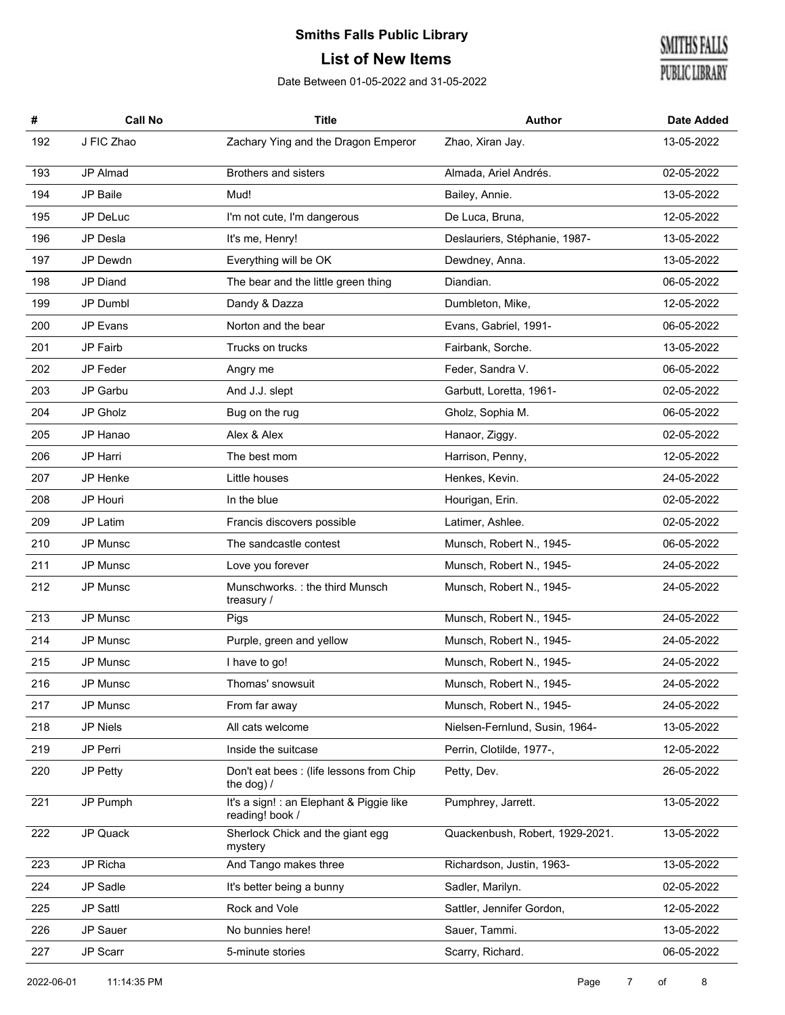## SMITHS FALLS PUBLIC LIBRARY

| #   | <b>Call No</b>  | <b>Title</b>                                                | <b>Author</b>                   | <b>Date Added</b> |
|-----|-----------------|-------------------------------------------------------------|---------------------------------|-------------------|
| 192 | J FIC Zhao      | Zachary Ying and the Dragon Emperor                         | Zhao, Xiran Jay.                | 13-05-2022        |
| 193 | JP Almad        | Brothers and sisters                                        | Almada, Ariel Andrés.           | 02-05-2022        |
| 194 | JP Baile        | Mud!                                                        | Bailey, Annie.                  | 13-05-2022        |
| 195 | JP DeLuc        | I'm not cute, I'm dangerous                                 | De Luca, Bruna,                 | 12-05-2022        |
| 196 | JP Desla        | It's me, Henry!                                             | Deslauriers, Stéphanie, 1987-   | 13-05-2022        |
| 197 | JP Dewdn        | Everything will be OK                                       | Dewdney, Anna.                  | 13-05-2022        |
| 198 | JP Diand        | The bear and the little green thing                         | Diandian.                       | 06-05-2022        |
| 199 | JP Dumbl        | Dandy & Dazza                                               | Dumbleton, Mike,                | 12-05-2022        |
| 200 | <b>JP Evans</b> | Norton and the bear                                         | Evans, Gabriel, 1991-           | 06-05-2022        |
| 201 | JP Fairb        | Trucks on trucks                                            | Fairbank, Sorche.               | 13-05-2022        |
| 202 | JP Feder        | Angry me                                                    | Feder, Sandra V.                | 06-05-2022        |
| 203 | JP Garbu        | And J.J. slept                                              | Garbutt, Loretta, 1961-         | 02-05-2022        |
| 204 | JP Gholz        | Bug on the rug                                              | Gholz, Sophia M.                | 06-05-2022        |
| 205 | JP Hanao        | Alex & Alex                                                 | Hanaor, Ziggy.                  | 02-05-2022        |
| 206 | <b>JP Harri</b> | The best mom                                                | Harrison, Penny,                | 12-05-2022        |
| 207 | JP Henke        | Little houses                                               | Henkes, Kevin.                  | 24-05-2022        |
| 208 | JP Houri        | In the blue                                                 | Hourigan, Erin.                 | 02-05-2022        |
| 209 | <b>JP Latim</b> | Francis discovers possible                                  | Latimer, Ashlee.                | 02-05-2022        |
| 210 | JP Munsc        | The sandcastle contest                                      | Munsch, Robert N., 1945-        | 06-05-2022        |
| 211 | JP Munsc        | Love you forever                                            | Munsch, Robert N., 1945-        | 24-05-2022        |
| 212 | <b>JP Munsc</b> | Munschworks.: the third Munsch<br>treasury /                | Munsch, Robert N., 1945-        | 24-05-2022        |
| 213 | JP Munsc        | Pigs                                                        | Munsch, Robert N., 1945-        | 24-05-2022        |
| 214 | <b>JP Munsc</b> | Purple, green and yellow                                    | Munsch, Robert N., 1945-        | 24-05-2022        |
| 215 | JP Munsc        | I have to go!                                               | Munsch, Robert N., 1945-        | 24-05-2022        |
| 216 | JP Munsc        | Thomas' snowsuit                                            | Munsch, Robert N., 1945-        | 24-05-2022        |
| 217 | JP Munsc        | From far away                                               | Munsch, Robert N., 1945-        | 24-05-2022        |
| 218 | <b>JP Niels</b> | All cats welcome                                            | Nielsen-Fernlund, Susin, 1964-  | 13-05-2022        |
| 219 | JP Perri        | Inside the suitcase                                         | Perrin, Clotilde, 1977-,        | 12-05-2022        |
| 220 | JP Petty        | Don't eat bees : (life lessons from Chip<br>the dog) $/$    | Petty, Dev.                     | 26-05-2022        |
| 221 | JP Pumph        | It's a sign! : an Elephant & Piggie like<br>reading! book / | Pumphrey, Jarrett.              | 13-05-2022        |
| 222 | JP Quack        | Sherlock Chick and the giant egg<br>mystery                 | Quackenbush, Robert, 1929-2021. | 13-05-2022        |
| 223 | JP Richa        | And Tango makes three                                       | Richardson, Justin, 1963-       | 13-05-2022        |
| 224 | JP Sadle        | It's better being a bunny                                   | Sadler, Marilyn.                | 02-05-2022        |
| 225 | JP Sattl        | Rock and Vole                                               | Sattler, Jennifer Gordon,       | 12-05-2022        |
| 226 | JP Sauer        | No bunnies here!                                            | Sauer, Tammi.                   | 13-05-2022        |
| 227 | JP Scarr        | 5-minute stories                                            | Scarry, Richard.                | 06-05-2022        |